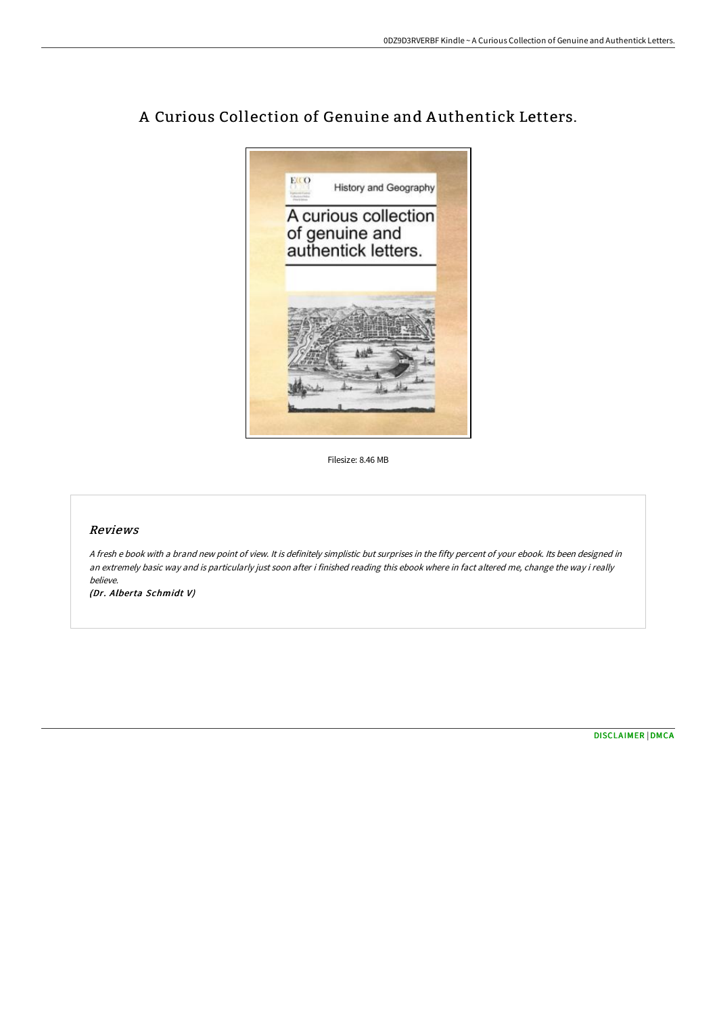

# A Curious Collection of Genuine and A uthentick Letters.

Filesize: 8.46 MB

### Reviews

<sup>A</sup> fresh <sup>e</sup> book with <sup>a</sup> brand new point of view. It is definitely simplistic but surprises in the fifty percent of your ebook. Its been designed in an extremely basic way and is particularly just soon after i finished reading this ebook where in fact altered me, change the way i really believe.

(Dr. Alberta Schmidt V)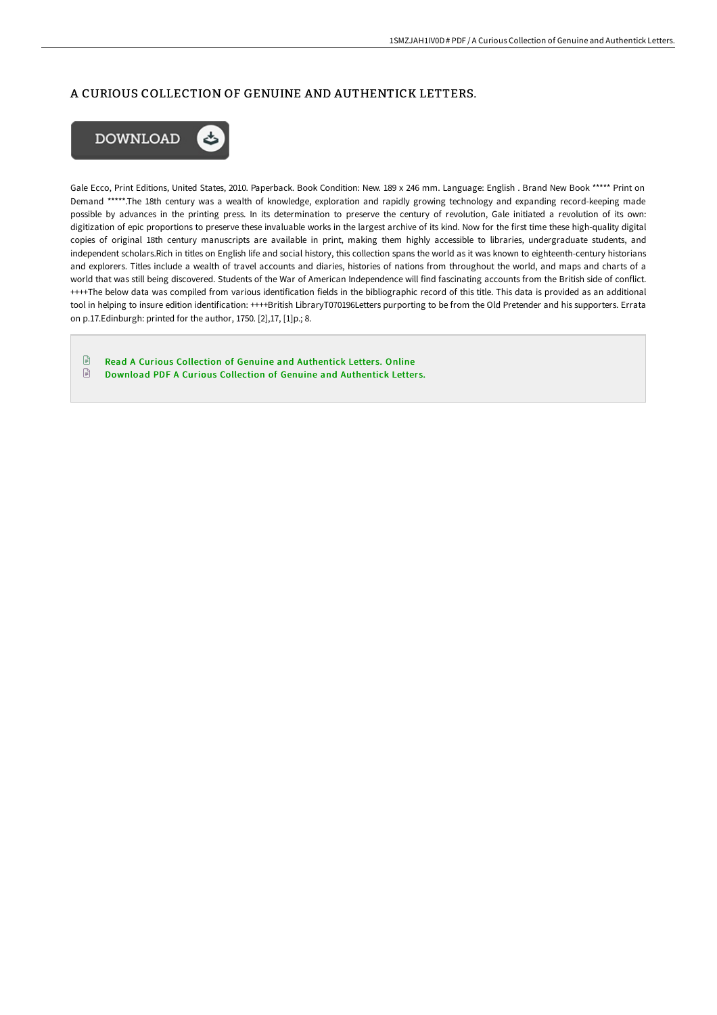## A CURIOUS COLLECTION OF GENUINE AND AUTHENTICK LETTERS.



Gale Ecco, Print Editions, United States, 2010. Paperback. Book Condition: New. 189 x 246 mm. Language: English . Brand New Book \*\*\*\*\* Print on Demand \*\*\*\*\*.The 18th century was a wealth of knowledge, exploration and rapidly growing technology and expanding record-keeping made possible by advances in the printing press. In its determination to preserve the century of revolution, Gale initiated a revolution of its own: digitization of epic proportions to preserve these invaluable works in the largest archive of its kind. Now for the first time these high-quality digital copies of original 18th century manuscripts are available in print, making them highly accessible to libraries, undergraduate students, and independent scholars.Rich in titles on English life and social history, this collection spans the world as it was known to eighteenth-century historians and explorers. Titles include a wealth of travel accounts and diaries, histories of nations from throughout the world, and maps and charts of a world that was still being discovered. Students of the War of American Independence will find fascinating accounts from the British side of conflict. ++++The below data was compiled from various identification fields in the bibliographic record of this title. This data is provided as an additional tool in helping to insure edition identification: ++++British LibraryT070196Letters purporting to be from the Old Pretender and his supporters. Errata on p.17.Edinburgh: printed for the author, 1750. [2],17, [1]p.; 8.

 $\textcolor{red}{\blacksquare}$ Read A Curious Collection of Genuine and [Authentick](http://albedo.media/a-curious-collection-of-genuine-and-authentick-l.html) Letters. Online  $\begin{tabular}{|c|c|} \hline \multicolumn{3}{|c|}{\textbf{1}} & \multicolumn{3}{|c|}{\textbf{2}} \\ \hline \multicolumn{3}{|c|}{\textbf{3}} & \multicolumn{3}{|c|}{\textbf{4}} \\ \hline \multicolumn{3}{|c|}{\textbf{5}} & \multicolumn{3}{|c|}{\textbf{6}} \\ \hline \multicolumn{3}{|c|}{\textbf{6}} & \multicolumn{3}{|c|}{\textbf{7}} \\ \hline \multicolumn{3}{|c|}{\textbf{6}} & \multicolumn{3}{|c|}{\textbf{7}} \\ \hline \multicolumn{3}{|c|$ Download PDF A Curious Collection of Genuine and [Authentick](http://albedo.media/a-curious-collection-of-genuine-and-authentick-l.html) Letters.